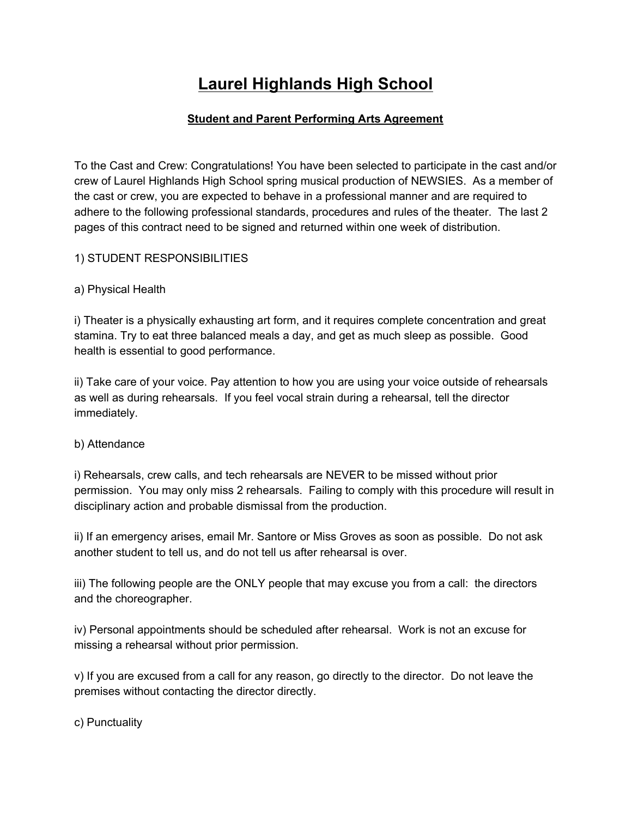# **Laurel Highlands High School**

# **Student and Parent Performing Arts Agreement**

To the Cast and Crew: Congratulations! You have been selected to participate in the cast and/or crew of Laurel Highlands High School spring musical production of NEWSIES. As a member of the cast or crew, you are expected to behave in a professional manner and are required to adhere to the following professional standards, procedures and rules of the theater. The last 2 pages of this contract need to be signed and returned within one week of distribution.

# 1) STUDENT RESPONSIBILITIES

## a) Physical Health

i) Theater is a physically exhausting art form, and it requires complete concentration and great stamina. Try to eat three balanced meals a day, and get as much sleep as possible. Good health is essential to good performance.

ii) Take care of your voice. Pay attention to how you are using your voice outside of rehearsals as well as during rehearsals. If you feel vocal strain during a rehearsal, tell the director immediately.

# b) Attendance

i) Rehearsals, crew calls, and tech rehearsals are NEVER to be missed without prior permission. You may only miss 2 rehearsals. Failing to comply with this procedure will result in disciplinary action and probable dismissal from the production.

ii) If an emergency arises, email Mr. Santore or Miss Groves as soon as possible. Do not ask another student to tell us, and do not tell us after rehearsal is over.

iii) The following people are the ONLY people that may excuse you from a call: the directors and the choreographer.

iv) Personal appointments should be scheduled after rehearsal. Work is not an excuse for missing a rehearsal without prior permission.

v) If you are excused from a call for any reason, go directly to the director. Do not leave the premises without contacting the director directly.

c) Punctuality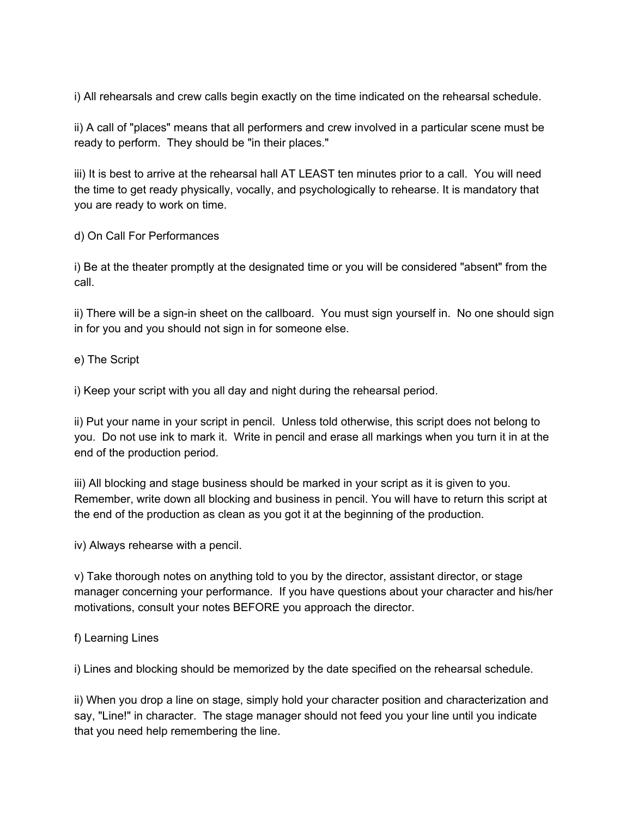i) All rehearsals and crew calls begin exactly on the time indicated on the rehearsal schedule.

ii) A call of "places" means that all performers and crew involved in a particular scene must be ready to perform. They should be "in their places."

iii) It is best to arrive at the rehearsal hall AT LEAST ten minutes prior to a call. You will need the time to get ready physically, vocally, and psychologically to rehearse. It is mandatory that you are ready to work on time.

d) On Call For Performances

i) Be at the theater promptly at the designated time or you will be considered "absent" from the call.

ii) There will be a sign-in sheet on the callboard. You must sign yourself in. No one should sign in for you and you should not sign in for someone else.

## e) The Script

i) Keep your script with you all day and night during the rehearsal period.

ii) Put your name in your script in pencil. Unless told otherwise, this script does not belong to you. Do not use ink to mark it. Write in pencil and erase all markings when you turn it in at the end of the production period.

iii) All blocking and stage business should be marked in your script as it is given to you. Remember, write down all blocking and business in pencil. You will have to return this script at the end of the production as clean as you got it at the beginning of the production.

iv) Always rehearse with a pencil.

v) Take thorough notes on anything told to you by the director, assistant director, or stage manager concerning your performance. If you have questions about your character and his/her motivations, consult your notes BEFORE you approach the director.

# f) Learning Lines

i) Lines and blocking should be memorized by the date specified on the rehearsal schedule.

ii) When you drop a line on stage, simply hold your character position and characterization and say, "Line!" in character. The stage manager should not feed you your line until you indicate that you need help remembering the line.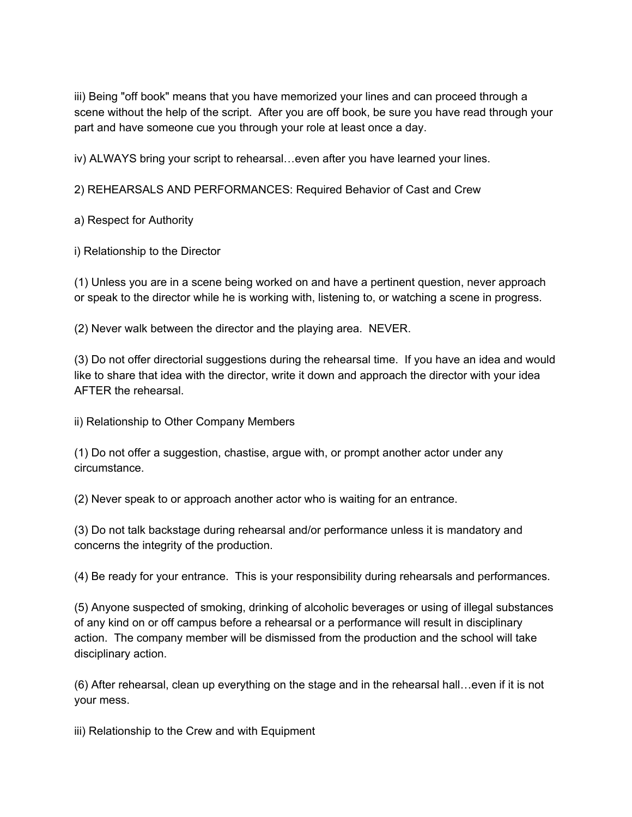iii) Being "off book" means that you have memorized your lines and can proceed through a scene without the help of the script. After you are off book, be sure you have read through your part and have someone cue you through your role at least once a day.

iv) ALWAYS bring your script to rehearsal…even after you have learned your lines.

2) REHEARSALS AND PERFORMANCES: Required Behavior of Cast and Crew

a) Respect for Authority

i) Relationship to the Director

(1) Unless you are in a scene being worked on and have a pertinent question, never approach or speak to the director while he is working with, listening to, or watching a scene in progress.

(2) Never walk between the director and the playing area. NEVER.

(3) Do not offer directorial suggestions during the rehearsal time. If you have an idea and would like to share that idea with the director, write it down and approach the director with your idea AFTER the rehearsal.

ii) Relationship to Other Company Members

(1) Do not offer a suggestion, chastise, argue with, or prompt another actor under any circumstance.

(2) Never speak to or approach another actor who is waiting for an entrance.

(3) Do not talk backstage during rehearsal and/or performance unless it is mandatory and concerns the integrity of the production.

(4) Be ready for your entrance. This is your responsibility during rehearsals and performances.

(5) Anyone suspected of smoking, drinking of alcoholic beverages or using of illegal substances of any kind on or off campus before a rehearsal or a performance will result in disciplinary action. The company member will be dismissed from the production and the school will take disciplinary action.

(6) After rehearsal, clean up everything on the stage and in the rehearsal hall…even if it is not your mess.

iii) Relationship to the Crew and with Equipment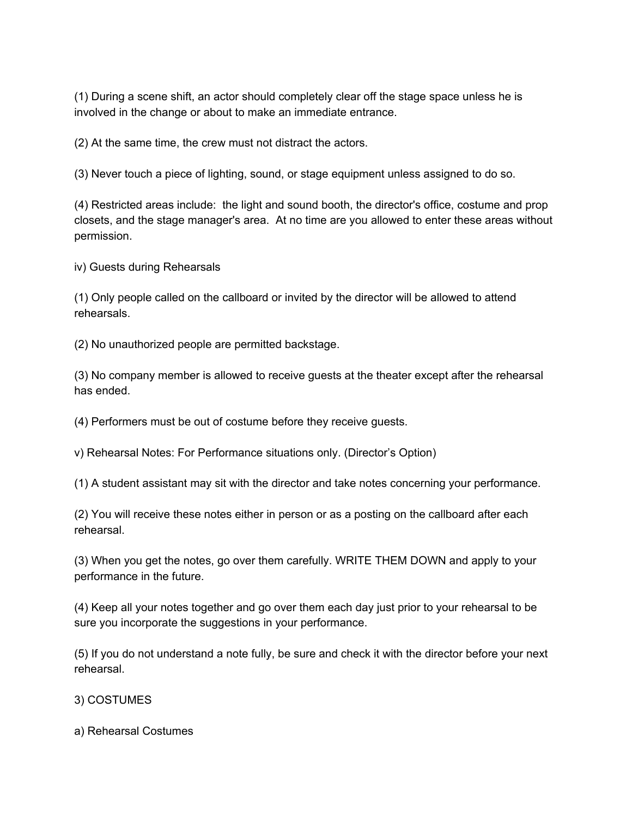(1) During a scene shift, an actor should completely clear off the stage space unless he is involved in the change or about to make an immediate entrance.

(2) At the same time, the crew must not distract the actors.

(3) Never touch a piece of lighting, sound, or stage equipment unless assigned to do so.

(4) Restricted areas include: the light and sound booth, the director's office, costume and prop closets, and the stage manager's area. At no time are you allowed to enter these areas without permission.

iv) Guests during Rehearsals

(1) Only people called on the callboard or invited by the director will be allowed to attend rehearsals.

(2) No unauthorized people are permitted backstage.

(3) No company member is allowed to receive guests at the theater except after the rehearsal has ended.

(4) Performers must be out of costume before they receive guests.

v) Rehearsal Notes: For Performance situations only. (Director's Option)

(1) A student assistant may sit with the director and take notes concerning your performance.

(2) You will receive these notes either in person or as a posting on the callboard after each rehearsal.

(3) When you get the notes, go over them carefully. WRITE THEM DOWN and apply to your performance in the future.

(4) Keep all your notes together and go over them each day just prior to your rehearsal to be sure you incorporate the suggestions in your performance.

(5) If you do not understand a note fully, be sure and check it with the director before your next rehearsal.

#### 3) COSTUMES

#### a) Rehearsal Costumes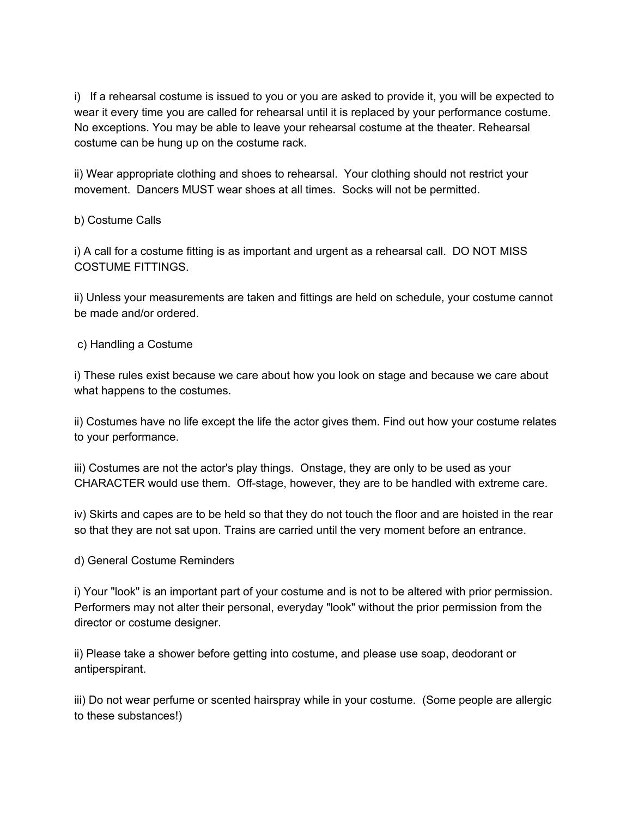i) If a rehearsal costume is issued to you or you are asked to provide it, you will be expected to wear it every time you are called for rehearsal until it is replaced by your performance costume. No exceptions. You may be able to leave your rehearsal costume at the theater. Rehearsal costume can be hung up on the costume rack.

ii) Wear appropriate clothing and shoes to rehearsal. Your clothing should not restrict your movement. Dancers MUST wear shoes at all times. Socks will not be permitted.

## b) Costume Calls

i) A call for a costume fitting is as important and urgent as a rehearsal call. DO NOT MISS COSTUME FITTINGS.

ii) Unless your measurements are taken and fittings are held on schedule, your costume cannot be made and/or ordered.

## c) Handling a Costume

i) These rules exist because we care about how you look on stage and because we care about what happens to the costumes.

ii) Costumes have no life except the life the actor gives them. Find out how your costume relates to your performance.

iii) Costumes are not the actor's play things. Onstage, they are only to be used as your CHARACTER would use them. Off-stage, however, they are to be handled with extreme care.

iv) Skirts and capes are to be held so that they do not touch the floor and are hoisted in the rear so that they are not sat upon. Trains are carried until the very moment before an entrance.

# d) General Costume Reminders

i) Your "look" is an important part of your costume and is not to be altered with prior permission. Performers may not alter their personal, everyday "look" without the prior permission from the director or costume designer.

ii) Please take a shower before getting into costume, and please use soap, deodorant or antiperspirant.

iii) Do not wear perfume or scented hairspray while in your costume. (Some people are allergic to these substances!)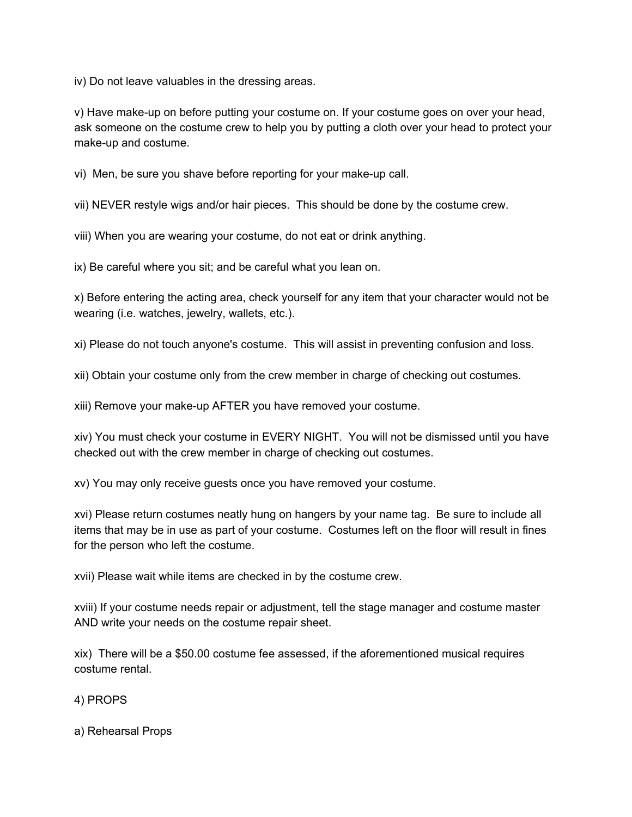iv) Do not leave valuables in the dressing areas.

v) Have make-up on before putting your costume on. If your costume goes on over your head, ask someone on the costume crew to help you by putting a cloth over your head to protect your make-up and costume.

vi) Men, be sure you shave before reporting for your make-up call.

vii) NEVER restyle wigs and/or hair pieces. This should be done by the costume crew.

viii) When you are wearing your costume, do not eat or drink anything.

ix) Be careful where you sit; and be careful what you lean on.

x) Before entering the acting area, check yourself for any item that your character would not be wearing (i.e. watches, jewelry, wallets, etc.).

xi) Please do not touch anyone's costume. This will assist in preventing confusion and loss.

xii) Obtain your costume only from the crew member in charge of checking out costumes.

xiii) Remove your make-up AFTER you have removed your costume.

xiv) You must check your costume in EVERY NIGHT. You will not be dismissed until you have checked out with the crew member in charge of checking out costumes.

xv) You may only receive guests once you have removed your costume.

xvi) Please return costumes neatly hung on hangers by your name tag. Be sure to include all items that may be in use as part of your costume. Costumes left on the floor will result in fines for the person who left the costume.

xvii) Please wait while items are checked in by the costume crew.

xviii) If your costume needs repair or adjustment, tell the stage manager and costume master AND write your needs on the costume repair sheet.

xix) There will be a \$50.00 costume fee assessed, if the aforementioned musical requires costume rental.

# 4) PROPS

a) Rehearsal Props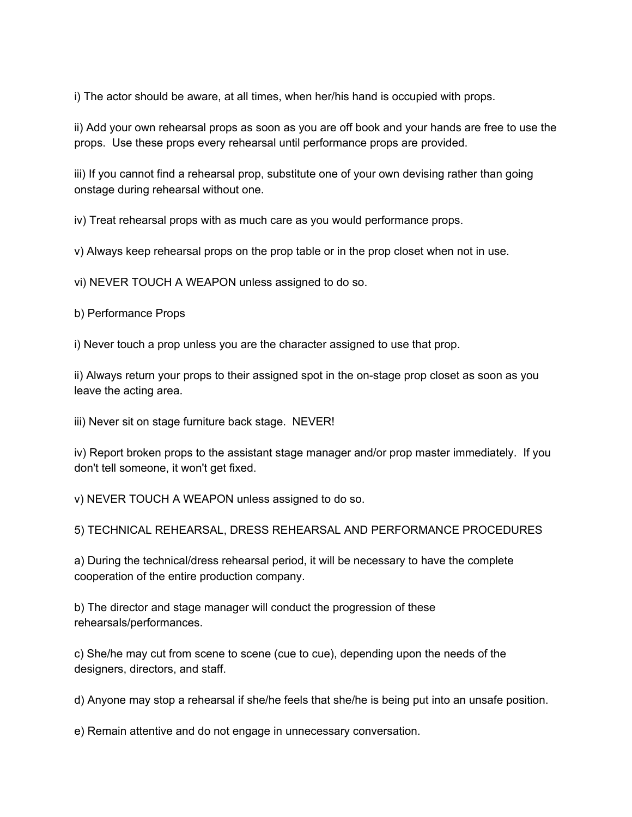i) The actor should be aware, at all times, when her/his hand is occupied with props.

ii) Add your own rehearsal props as soon as you are off book and your hands are free to use the props. Use these props every rehearsal until performance props are provided.

iii) If you cannot find a rehearsal prop, substitute one of your own devising rather than going onstage during rehearsal without one.

iv) Treat rehearsal props with as much care as you would performance props.

v) Always keep rehearsal props on the prop table or in the prop closet when not in use.

vi) NEVER TOUCH A WEAPON unless assigned to do so.

b) Performance Props

i) Never touch a prop unless you are the character assigned to use that prop.

ii) Always return your props to their assigned spot in the on-stage prop closet as soon as you leave the acting area.

iii) Never sit on stage furniture back stage. NEVER!

iv) Report broken props to the assistant stage manager and/or prop master immediately. If you don't tell someone, it won't get fixed.

v) NEVER TOUCH A WEAPON unless assigned to do so.

5) TECHNICAL REHEARSAL, DRESS REHEARSAL AND PERFORMANCE PROCEDURES

a) During the technical/dress rehearsal period, it will be necessary to have the complete cooperation of the entire production company.

b) The director and stage manager will conduct the progression of these rehearsals/performances.

c) She/he may cut from scene to scene (cue to cue), depending upon the needs of the designers, directors, and staff.

d) Anyone may stop a rehearsal if she/he feels that she/he is being put into an unsafe position.

e) Remain attentive and do not engage in unnecessary conversation.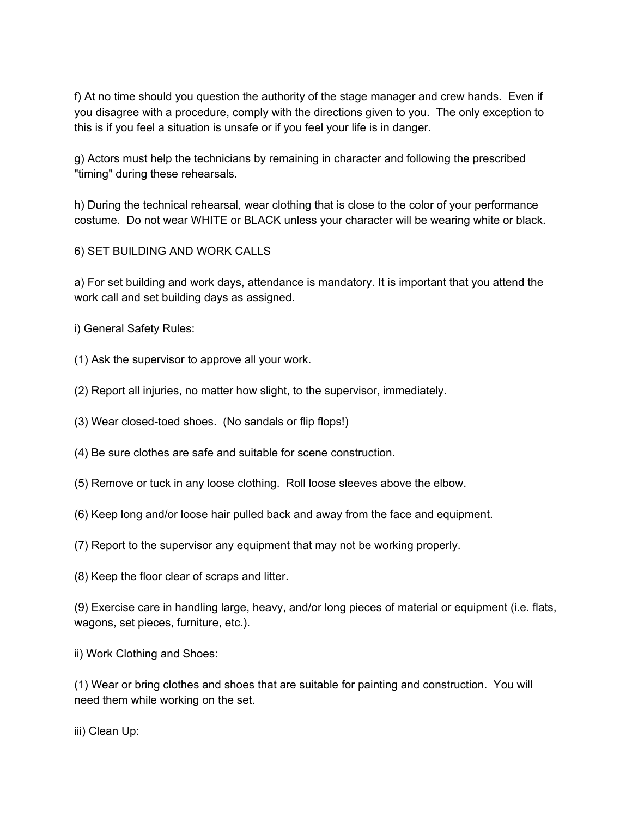f) At no time should you question the authority of the stage manager and crew hands. Even if you disagree with a procedure, comply with the directions given to you. The only exception to this is if you feel a situation is unsafe or if you feel your life is in danger.

g) Actors must help the technicians by remaining in character and following the prescribed "timing" during these rehearsals.

h) During the technical rehearsal, wear clothing that is close to the color of your performance costume. Do not wear WHITE or BLACK unless your character will be wearing white or black.

6) SET BUILDING AND WORK CALLS

a) For set building and work days, attendance is mandatory. It is important that you attend the work call and set building days as assigned.

i) General Safety Rules:

(1) Ask the supervisor to approve all your work.

(2) Report all injuries, no matter how slight, to the supervisor, immediately.

(3) Wear closed-toed shoes. (No sandals or flip flops!)

(4) Be sure clothes are safe and suitable for scene construction.

(5) Remove or tuck in any loose clothing. Roll loose sleeves above the elbow.

(6) Keep long and/or loose hair pulled back and away from the face and equipment.

(7) Report to the supervisor any equipment that may not be working properly.

(8) Keep the floor clear of scraps and litter.

(9) Exercise care in handling large, heavy, and/or long pieces of material or equipment (i.e. flats, wagons, set pieces, furniture, etc.).

ii) Work Clothing and Shoes:

(1) Wear or bring clothes and shoes that are suitable for painting and construction. You will need them while working on the set.

iii) Clean Up: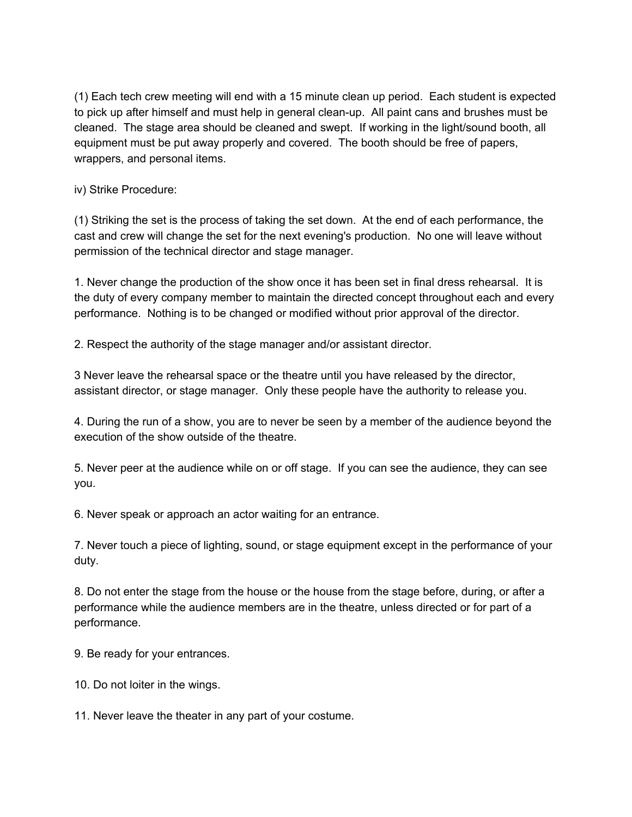(1) Each tech crew meeting will end with a 15 minute clean up period. Each student is expected to pick up after himself and must help in general clean-up. All paint cans and brushes must be cleaned. The stage area should be cleaned and swept. If working in the light/sound booth, all equipment must be put away properly and covered. The booth should be free of papers, wrappers, and personal items.

iv) Strike Procedure:

(1) Striking the set is the process of taking the set down. At the end of each performance, the cast and crew will change the set for the next evening's production. No one will leave without permission of the technical director and stage manager.

1. Never change the production of the show once it has been set in final dress rehearsal. It is the duty of every company member to maintain the directed concept throughout each and every performance. Nothing is to be changed or modified without prior approval of the director.

2. Respect the authority of the stage manager and/or assistant director.

3 Never leave the rehearsal space or the theatre until you have released by the director, assistant director, or stage manager. Only these people have the authority to release you.

4. During the run of a show, you are to never be seen by a member of the audience beyond the execution of the show outside of the theatre.

5. Never peer at the audience while on or off stage. If you can see the audience, they can see you.

6. Never speak or approach an actor waiting for an entrance.

7. Never touch a piece of lighting, sound, or stage equipment except in the performance of your duty.

8. Do not enter the stage from the house or the house from the stage before, during, or after a performance while the audience members are in the theatre, unless directed or for part of a performance.

9. Be ready for your entrances.

10. Do not loiter in the wings.

11. Never leave the theater in any part of your costume.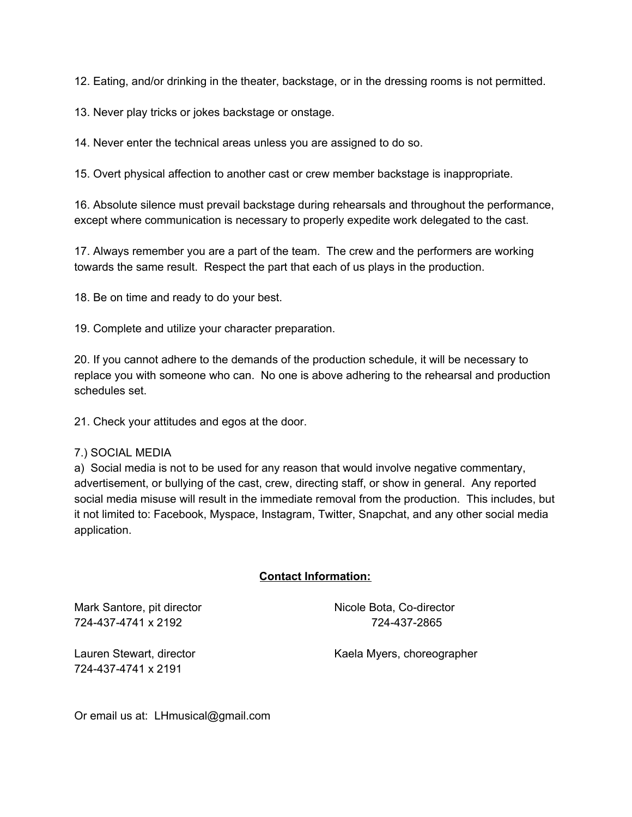12. Eating, and/or drinking in the theater, backstage, or in the dressing rooms is not permitted.

13. Never play tricks or jokes backstage or onstage.

14. Never enter the technical areas unless you are assigned to do so.

15. Overt physical affection to another cast or crew member backstage is inappropriate.

16. Absolute silence must prevail backstage during rehearsals and throughout the performance, except where communication is necessary to properly expedite work delegated to the cast.

17. Always remember you are a part of the team. The crew and the performers are working towards the same result. Respect the part that each of us plays in the production.

18. Be on time and ready to do your best.

19. Complete and utilize your character preparation.

20. If you cannot adhere to the demands of the production schedule, it will be necessary to replace you with someone who can. No one is above adhering to the rehearsal and production schedules set.

21. Check your attitudes and egos at the door.

#### 7.) SOCIAL MEDIA

a) Social media is not to be used for any reason that would involve negative commentary, advertisement, or bullying of the cast, crew, directing staff, or show in general. Any reported social media misuse will result in the immediate removal from the production. This includes, but it not limited to: Facebook, Myspace, Instagram, Twitter, Snapchat, and any other social media application.

#### **Contact Information:**

Mark Santore, pit director Nicole Bota, Co-director 724-437-4741 x 2192 724-437-2865

724-437-4741 x 2191

Lauren Stewart, director **Kaela Myers, choreographer** 

Or email us at: LHmusical@gmail.com